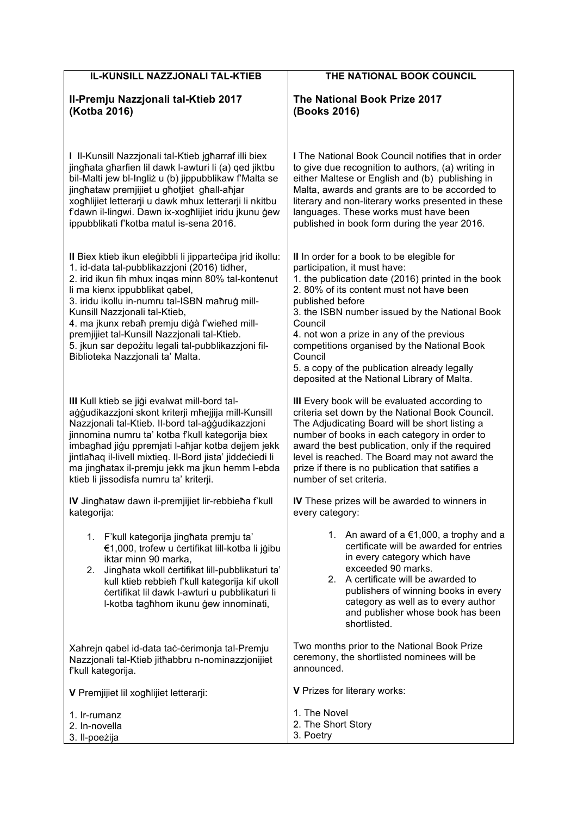| IL-KUNSILL NAZZJONALI TAL-KTIEB                                                                                                                                                                                                                                                                                                                                                                                                                                                | THE NATIONAL BOOK COUNCIL                                                                                                                                                                                                                                                                                                                                                                                                                                         |
|--------------------------------------------------------------------------------------------------------------------------------------------------------------------------------------------------------------------------------------------------------------------------------------------------------------------------------------------------------------------------------------------------------------------------------------------------------------------------------|-------------------------------------------------------------------------------------------------------------------------------------------------------------------------------------------------------------------------------------------------------------------------------------------------------------------------------------------------------------------------------------------------------------------------------------------------------------------|
| II-Premju Nazzjonali tal-Ktieb 2017                                                                                                                                                                                                                                                                                                                                                                                                                                            | The National Book Prize 2017                                                                                                                                                                                                                                                                                                                                                                                                                                      |
| (Kotba 2016)                                                                                                                                                                                                                                                                                                                                                                                                                                                                   | (Books 2016)                                                                                                                                                                                                                                                                                                                                                                                                                                                      |
| I Il-Kunsill Nazzjonali tal-Ktieb jgharraf illi biex                                                                                                                                                                                                                                                                                                                                                                                                                           | I The National Book Council notifies that in order                                                                                                                                                                                                                                                                                                                                                                                                                |
| jinghata gharfien lil dawk l-awturi li (a) ged jiktbu                                                                                                                                                                                                                                                                                                                                                                                                                          | to give due recognition to authors, (a) writing in                                                                                                                                                                                                                                                                                                                                                                                                                |
| bil-Malti jew bl-Ingliż u (b) jippubblikaw f'Malta se                                                                                                                                                                                                                                                                                                                                                                                                                          | either Maltese or English and (b) publishing in                                                                                                                                                                                                                                                                                                                                                                                                                   |
| jinghataw premjijiet u ghotjiet ghall-ahjar                                                                                                                                                                                                                                                                                                                                                                                                                                    | Malta, awards and grants are to be accorded to                                                                                                                                                                                                                                                                                                                                                                                                                    |
| xogħlijiet letterarji u dawk mhux letterarji li nkitbu                                                                                                                                                                                                                                                                                                                                                                                                                         | literary and non-literary works presented in these                                                                                                                                                                                                                                                                                                                                                                                                                |
| f'dawn il-lingwi. Dawn ix-xoghlijiet iridu jkunu gew                                                                                                                                                                                                                                                                                                                                                                                                                           | languages. These works must have been                                                                                                                                                                                                                                                                                                                                                                                                                             |
| ippubblikati f'kotba matul is-sena 2016.                                                                                                                                                                                                                                                                                                                                                                                                                                       | published in book form during the year 2016.                                                                                                                                                                                                                                                                                                                                                                                                                      |
| Il Biex ktieb ikun eleģibbli li jippartečipa jrid ikollu:<br>1. id-data tal-pubblikazzjoni (2016) tidher,<br>2. irid ikun fih mhux ingas minn 80% tal-kontenut<br>li ma kienx ippubblikat qabel,<br>3. iridu ikollu in-numru tal-ISBN mahruģ mill-<br>Kunsill Nazzjonali tal-Ktieb,<br>4. ma įkunx rebah premju digà f'wiehed mill-<br>premjijiet tal-Kunsill Nazzjonali tal-Ktieb.<br>5. jkun sar depożitu legali tal-pubblikazzjoni fil-<br>Biblioteka Nazzjonali ta' Malta. | II In order for a book to be elegible for<br>participation, it must have:<br>1. the publication date (2016) printed in the book<br>2.80% of its content must not have been<br>published before<br>3. the ISBN number issued by the National Book<br>Council<br>4. not won a prize in any of the previous<br>competitions organised by the National Book<br>Council<br>5. a copy of the publication already legally<br>deposited at the National Library of Malta. |
| III Kull ktieb se jiği evalwat mill-bord tal-                                                                                                                                                                                                                                                                                                                                                                                                                                  | III Every book will be evaluated according to                                                                                                                                                                                                                                                                                                                                                                                                                     |
| aģģudikazzjoni skont kriterji mīnejjija mill-Kunsill                                                                                                                                                                                                                                                                                                                                                                                                                           | criteria set down by the National Book Council.                                                                                                                                                                                                                                                                                                                                                                                                                   |
| Nazzjonali tal-Ktieb. Il-bord tal-aġġudikazzjoni                                                                                                                                                                                                                                                                                                                                                                                                                               | The Adjudicating Board will be short listing a                                                                                                                                                                                                                                                                                                                                                                                                                    |
| jinnomina numru ta' kotba f'kull kategorija biex                                                                                                                                                                                                                                                                                                                                                                                                                               | number of books in each category in order to                                                                                                                                                                                                                                                                                                                                                                                                                      |
| imbaghad jigu ppremjati l-ahjar kotba dejjem jekk                                                                                                                                                                                                                                                                                                                                                                                                                              | award the best publication, only if the required                                                                                                                                                                                                                                                                                                                                                                                                                  |
| jintlahaq il-livell mixtieq. Il-Bord jista' jiddeciedi li                                                                                                                                                                                                                                                                                                                                                                                                                      | level is reached. The Board may not award the                                                                                                                                                                                                                                                                                                                                                                                                                     |
| ma jinghatax il-premju jekk ma jkun hemm l-ebda                                                                                                                                                                                                                                                                                                                                                                                                                                | prize if there is no publication that satifies a                                                                                                                                                                                                                                                                                                                                                                                                                  |
| ktieb li jissodisfa numru ta' kriterji.                                                                                                                                                                                                                                                                                                                                                                                                                                        | number of set criteria.                                                                                                                                                                                                                                                                                                                                                                                                                                           |
| IV Jinghataw dawn il-premjijiet lir-rebbieha f'kull                                                                                                                                                                                                                                                                                                                                                                                                                            | IV These prizes will be awarded to winners in                                                                                                                                                                                                                                                                                                                                                                                                                     |
| kategorija:                                                                                                                                                                                                                                                                                                                                                                                                                                                                    | every category:                                                                                                                                                                                                                                                                                                                                                                                                                                                   |
| 1. F'kull kategorija jinghata premju ta'<br>€1,000, trofew u certifikat lill-kotba li jģibu<br>iktar minn 90 marka,<br>Jinghata wkoll certifikat lill-pubblikaturi ta'<br>2.<br>kull ktieb rebbieh f'kull kategorija kif ukoll<br>certifikat lil dawk l-awturi u pubblikaturi li<br>I-kotba tagħhom ikunu ģew innominati,                                                                                                                                                      | 1. An award of $a \in 1,000$ , a trophy and a<br>certificate will be awarded for entries<br>in every category which have<br>exceeded 90 marks.<br>2.<br>A certificate will be awarded to<br>publishers of winning books in every<br>category as well as to every author<br>and publisher whose book has been<br>shortlisted.                                                                                                                                      |
| Xahrejn qabel id-data tac-cerimonja tal-Premju                                                                                                                                                                                                                                                                                                                                                                                                                                 | Two months prior to the National Book Prize                                                                                                                                                                                                                                                                                                                                                                                                                       |
| Nazzjonali tal-Ktieb jithabbru n-nominazzjonijiet                                                                                                                                                                                                                                                                                                                                                                                                                              | ceremony, the shortlisted nominees will be                                                                                                                                                                                                                                                                                                                                                                                                                        |
| f'kull kategorija.                                                                                                                                                                                                                                                                                                                                                                                                                                                             | announced.                                                                                                                                                                                                                                                                                                                                                                                                                                                        |
| V Premjijiet lil xogħlijiet letterarji:                                                                                                                                                                                                                                                                                                                                                                                                                                        | V Prizes for literary works:                                                                                                                                                                                                                                                                                                                                                                                                                                      |
| 1. Ir-rumanz                                                                                                                                                                                                                                                                                                                                                                                                                                                                   | 1. The Novel                                                                                                                                                                                                                                                                                                                                                                                                                                                      |
| 2. In-novella                                                                                                                                                                                                                                                                                                                                                                                                                                                                  | 2. The Short Story                                                                                                                                                                                                                                                                                                                                                                                                                                                |
| 3. Il-poeżija                                                                                                                                                                                                                                                                                                                                                                                                                                                                  | 3. Poetry                                                                                                                                                                                                                                                                                                                                                                                                                                                         |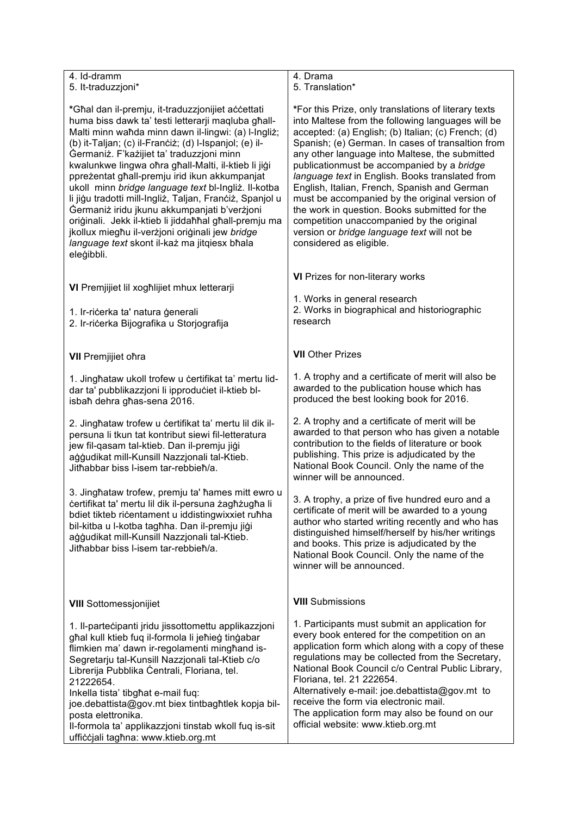| 4. Id-dramm<br>5. It-traduzzjoni*                                                                                                                                                                                                                                                                                                                                                                                                                                                                                                                                                                                                                                                                                           | 4. Drama<br>5. Translation*                                                                                                                                                                                                                                                                                                                                                                                                                                                                                                                                                                                                                        |
|-----------------------------------------------------------------------------------------------------------------------------------------------------------------------------------------------------------------------------------------------------------------------------------------------------------------------------------------------------------------------------------------------------------------------------------------------------------------------------------------------------------------------------------------------------------------------------------------------------------------------------------------------------------------------------------------------------------------------------|----------------------------------------------------------------------------------------------------------------------------------------------------------------------------------------------------------------------------------------------------------------------------------------------------------------------------------------------------------------------------------------------------------------------------------------------------------------------------------------------------------------------------------------------------------------------------------------------------------------------------------------------------|
| *Għal dan il-premju, it-traduzzjonijiet accettati<br>huma biss dawk ta' testi letterarji maqluba ghall-<br>Malti minn waħda minn dawn il-lingwi: (a) l-Ingliż;<br>(b) it-Taljan; (c) il-Franciż; (d) l-Ispanjol; (e) il-<br>Germaniż. F'każijiet ta' traduzzjoni minn<br>kwalunkwe lingwa ohra ghall-Malti, il-ktieb li jigi<br>ppreżentat għall-premju irid ikun akkumpanjat<br>ukoll minn bridge language text bl-Ingliż. Il-kotba<br>li jigu tradotti mill-Ingliż, Taljan, Franciż, Spanjol u<br>Germaniż iridu jkunu akkumpanjati b'verżjoni<br>oriģinali. Jekk il-ktieb li jiddafihal ghall-premju ma<br>jkollux miegħu il-verżjoni oriģinali jew bridge<br>language text skont il-każ ma jitqiesx bħala<br>eleģibbli. | *For this Prize, only translations of literary texts<br>into Maltese from the following languages will be<br>accepted: (a) English; (b) Italian; (c) French; (d)<br>Spanish; (e) German. In cases of transaltion from<br>any other language into Maltese, the submitted<br>publicationmust be accompanied by a bridge<br>language text in English. Books translated from<br>English, Italian, French, Spanish and German<br>must be accompanied by the original version of<br>the work in question. Books submitted for the<br>competition unaccompanied by the original<br>version or bridge language text will not be<br>considered as eligible. |
| VI Premjijiet lil xogħlijiet mhux letterarji                                                                                                                                                                                                                                                                                                                                                                                                                                                                                                                                                                                                                                                                                | VI Prizes for non-literary works                                                                                                                                                                                                                                                                                                                                                                                                                                                                                                                                                                                                                   |
| 1. Ir-ričerka ta' natura ģenerali<br>2. Ir-ricerka Bijografika u Storjografija                                                                                                                                                                                                                                                                                                                                                                                                                                                                                                                                                                                                                                              | 1. Works in general research<br>2. Works in biographical and historiographic<br>research                                                                                                                                                                                                                                                                                                                                                                                                                                                                                                                                                           |
| <b>VII</b> Premjijiet ofira                                                                                                                                                                                                                                                                                                                                                                                                                                                                                                                                                                                                                                                                                                 | <b>VII</b> Other Prizes                                                                                                                                                                                                                                                                                                                                                                                                                                                                                                                                                                                                                            |
| 1. Jinghataw ukoll trofew u certifikat ta' mertu lid-<br>dar ta' pubblikazzjoni li ipproduciet il-ktieb bl-<br>isbah dehra ghas-sena 2016.                                                                                                                                                                                                                                                                                                                                                                                                                                                                                                                                                                                  | 1. A trophy and a certificate of merit will also be<br>awarded to the publication house which has<br>produced the best looking book for 2016.                                                                                                                                                                                                                                                                                                                                                                                                                                                                                                      |
| 2. Jinghataw trofew u certifikat ta' mertu lil dik il-<br>persuna li tkun tat kontribut siewi fil-letteratura<br>jew fil-qasam tal-ktieb. Dan il-premju jiģi<br>ağğudikat mill-Kunsill Nazzjonali tal-Ktieb.<br>Jithabbar biss I-isem tar-rebbieh/a.                                                                                                                                                                                                                                                                                                                                                                                                                                                                        | 2. A trophy and a certificate of merit will be<br>awarded to that person who has given a notable<br>contribution to the fields of literature or book<br>publishing. This prize is adjudicated by the<br>National Book Council. Only the name of the<br>winner will be announced.                                                                                                                                                                                                                                                                                                                                                                   |
| 3. Jinghataw trofew, premju ta' hames mitt ewro u<br>certifikat ta' mertu lil dik il-persuna zaghzugha li<br>bdiet tikteb ricentament u iddistingwixxiet ruħha<br>bil-kitba u l-kotba tagħha. Dan il-premju jiġi<br>ağğudikat mill-Kunsill Nazzjonali tal-Ktieb.<br>Jithabbar biss I-isem tar-rebbieh/a.                                                                                                                                                                                                                                                                                                                                                                                                                    | 3. A trophy, a prize of five hundred euro and a<br>certificate of merit will be awarded to a young<br>author who started writing recently and who has<br>distinguished himself/herself by his/her writings<br>and books. This prize is adjudicated by the<br>National Book Council. Only the name of the<br>winner will be announced.                                                                                                                                                                                                                                                                                                              |
| <b>VIII</b> Sottomessionijiet                                                                                                                                                                                                                                                                                                                                                                                                                                                                                                                                                                                                                                                                                               | <b>VIII</b> Submissions                                                                                                                                                                                                                                                                                                                                                                                                                                                                                                                                                                                                                            |
| 1. Il-partecipanti jridu jissottomettu applikazzjoni<br>għal kull ktieb fuq il-formola li jeħieġ tinġabar<br>flimkien ma' dawn ir-regolamenti minghand is-<br>Segretarju tal-Kunsill Nazzjonali tal-Ktieb c/o<br>Librerija Pubblika Centrali, Floriana, tel.<br>21222654.<br>Inkella tista' tibghat e-mail fuq:<br>joe.debattista@gov.mt biex tintbagħtlek kopja bil-<br>posta elettronika.<br>Il-formola ta' applikazzjoni tinstab wkoll fuq is-sit<br>ufficcjali tagħna: www.ktieb.org.mt                                                                                                                                                                                                                                 | 1. Participants must submit an application for<br>every book entered for the competition on an<br>application form which along with a copy of these<br>regulations may be collected from the Secretary,<br>National Book Council c/o Central Public Library,<br>Floriana, tel. 21 222654.<br>Alternatively e-mail: joe.debattista@gov.mt to<br>receive the form via electronic mail.<br>The application form may also be found on our<br>official website: www.ktieb.org.mt                                                                                                                                                                        |